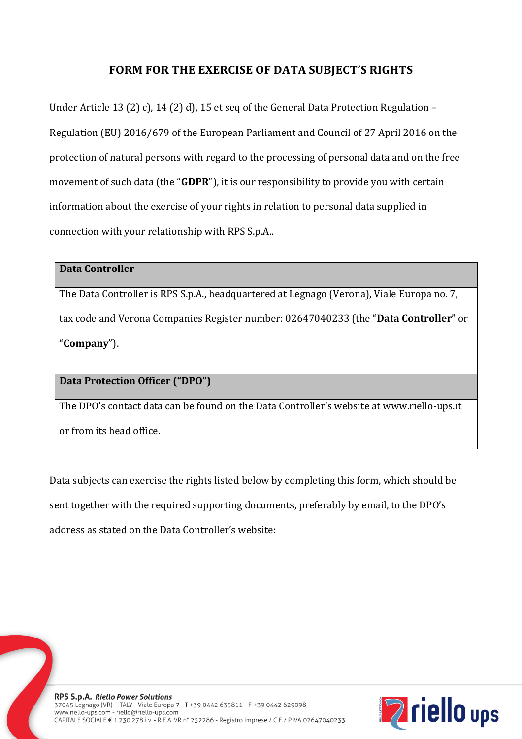## **FORM FOR THE EXERCISE OF DATA SUBJECT'S RIGHTS**

Under Article 13 (2) c), 14 (2) d), 15 et seq of the General Data Protection Regulation – Regulation (EU) 2016/679 of the European Parliament and Council of 27 April 2016 on the protection of natural persons with regard to the processing of personal data and on the free movement of such data (the "**GDPR**"), it is our responsibility to provide you with certain information about the exercise of your rights in relation to personal data supplied in connection with your relationship with RPS S.p.A..

## **Data Controller**

The Data Controller is RPS S.p.A., headquartered at Legnago (Verona), Viale Europa no. 7, tax code and Verona Companies Register number: 02647040233 (the "**Data Controller**" or "**Company**").

## **Data Protection Officer ("DPO")**

The DPO's contact data can be found on the Data Controller's website at www.riello-ups.it

or from its head office.

Data subjects can exercise the rights listed below by completing this form, which should be sent together with the required supporting documents, preferably by email, to the DPO's address as stated on the Data Controller's website:

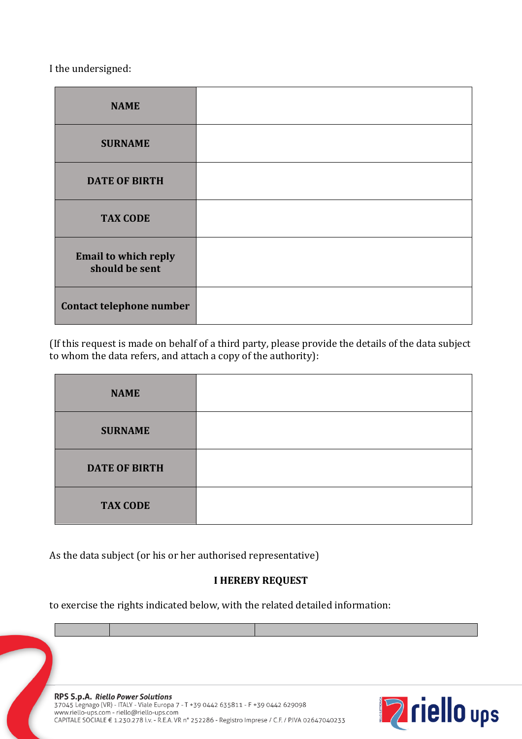I the undersigned:

| <b>NAME</b>                                   |  |
|-----------------------------------------------|--|
| <b>SURNAME</b>                                |  |
| <b>DATE OF BIRTH</b>                          |  |
| <b>TAX CODE</b>                               |  |
| <b>Email to which reply</b><br>should be sent |  |
| Contact telephone number                      |  |

(If this request is made on behalf of a third party, please provide the details of the data subject to whom the data refers, and attach a copy of the authority):

| <b>NAME</b>          |  |
|----------------------|--|
| <b>SURNAME</b>       |  |
| <b>DATE OF BIRTH</b> |  |
| <b>TAX CODE</b>      |  |

As the data subject (or his or her authorised representative)

## **I HEREBY REQUEST**

to exercise the rights indicated below, with the related detailed information:

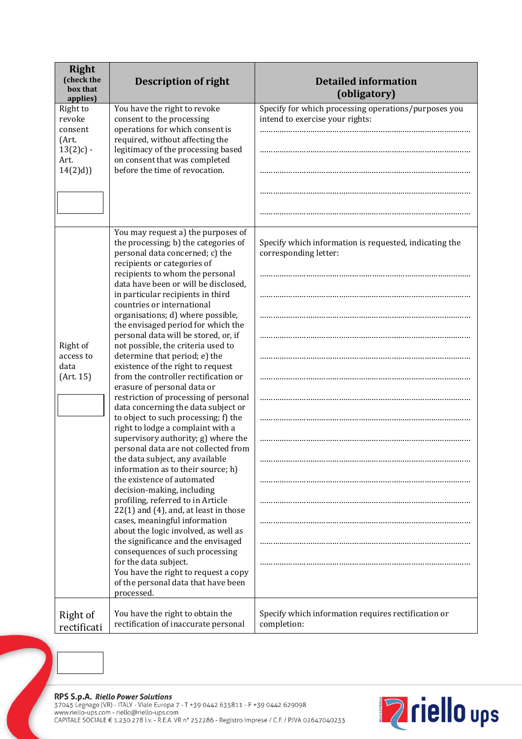| <b>Right</b><br>(check the<br>box that<br>applies)                                                                                                                                                                                                                                                                                                                                                                                                           | <b>Description of right</b>                                                                                                                                                                                                              | <b>Detailed information</b><br>(obligatory)                                             |
|--------------------------------------------------------------------------------------------------------------------------------------------------------------------------------------------------------------------------------------------------------------------------------------------------------------------------------------------------------------------------------------------------------------------------------------------------------------|------------------------------------------------------------------------------------------------------------------------------------------------------------------------------------------------------------------------------------------|-----------------------------------------------------------------------------------------|
| Right to<br>revoke<br>consent<br>(Art.<br>$13(2)c$ ) -<br>Art.<br>14(2)d)                                                                                                                                                                                                                                                                                                                                                                                    | You have the right to revoke<br>consent to the processing<br>operations for which consent is<br>required, without affecting the<br>legitimacy of the processing based<br>on consent that was completed<br>before the time of revocation. | Specify for which processing operations/purposes you<br>intend to exercise your rights: |
|                                                                                                                                                                                                                                                                                                                                                                                                                                                              |                                                                                                                                                                                                                                          |                                                                                         |
|                                                                                                                                                                                                                                                                                                                                                                                                                                                              | You may request a) the purposes of<br>the processing; b) the categories of<br>personal data concerned; c) the<br>recipients or categories of<br>recipients to whom the personal<br>data have been or will be disclosed,                  | Specify which information is requested, indicating the<br>corresponding letter:         |
| in particular recipients in third<br>countries or international<br>organisations; d) where possible,<br>the envisaged period for which the<br>personal data will be stored, or, if<br>Right of<br>not possible, the criteria used to<br>determine that period; e) the<br>access to<br>existence of the right to request<br>data<br>from the controller rectification or<br>(Art. 15)<br>erasure of personal data or<br>restriction of processing of personal |                                                                                                                                                                                                                                          |                                                                                         |
|                                                                                                                                                                                                                                                                                                                                                                                                                                                              |                                                                                                                                                                                                                                          |                                                                                         |
|                                                                                                                                                                                                                                                                                                                                                                                                                                                              | data concerning the data subject or<br>to object to such processing; f) the<br>right to lodge a complaint with a<br>supervisory authority; g) where the<br>personal data are not collected from                                          |                                                                                         |
| the data subject, any available<br>information as to their source; h)<br>the existence of automated<br>decision-making, including<br>profiling, referred to in Article<br>$22(1)$ and $(4)$ , and, at least in those<br>cases, meaningful information<br>about the logic involved, as well as<br>the significance and the envisaged<br>consequences of such processing<br>for the data subject.                                                              |                                                                                                                                                                                                                                          |                                                                                         |
|                                                                                                                                                                                                                                                                                                                                                                                                                                                              |                                                                                                                                                                                                                                          |                                                                                         |
|                                                                                                                                                                                                                                                                                                                                                                                                                                                              | You have the right to request a copy<br>of the personal data that have been<br>processed.                                                                                                                                                |                                                                                         |
| Right of<br>rectificati                                                                                                                                                                                                                                                                                                                                                                                                                                      | You have the right to obtain the<br>rectification of inaccurate personal                                                                                                                                                                 | Specify which information requires rectification or<br>completion:                      |



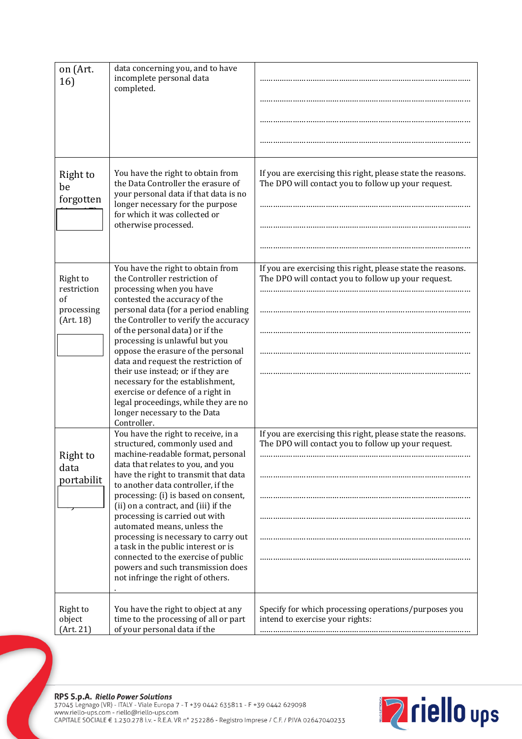| on (Art.<br>16)                                          | data concerning you, and to have<br>incomplete personal data<br>completed.                                                                                                                                                                                                                                                                                                                                                                                                                                                                                                    |                                                                                                                    |
|----------------------------------------------------------|-------------------------------------------------------------------------------------------------------------------------------------------------------------------------------------------------------------------------------------------------------------------------------------------------------------------------------------------------------------------------------------------------------------------------------------------------------------------------------------------------------------------------------------------------------------------------------|--------------------------------------------------------------------------------------------------------------------|
| Right to<br>be<br>forgotten                              | You have the right to obtain from<br>the Data Controller the erasure of<br>your personal data if that data is no<br>longer necessary for the purpose<br>for which it was collected or<br>otherwise processed.                                                                                                                                                                                                                                                                                                                                                                 | If you are exercising this right, please state the reasons.<br>The DPO will contact you to follow up your request. |
| Right to<br>restriction<br>of<br>processing<br>(Art. 18) | You have the right to obtain from<br>the Controller restriction of<br>processing when you have<br>contested the accuracy of the<br>personal data (for a period enabling<br>the Controller to verify the accuracy<br>of the personal data) or if the<br>processing is unlawful but you<br>oppose the erasure of the personal<br>data and request the restriction of<br>their use instead; or if they are<br>necessary for the establishment,<br>exercise or defence of a right in<br>legal proceedings, while they are no<br>longer necessary to the Data<br>Controller.       | If you are exercising this right, please state the reasons.<br>The DPO will contact you to follow up your request. |
| Right to<br>data<br>portabilit                           | You have the right to receive, in a<br>structured, commonly used and<br>machine-readable format, personal<br>data that relates to you, and you<br>have the right to transmit that data<br>to another data controller, if the<br>processing: (i) is based on consent,<br>(ii) on a contract, and (iii) if the<br>processing is carried out with<br>automated means, unless the<br>processing is necessary to carry out<br>a task in the public interest or is<br>connected to the exercise of public<br>powers and such transmission does<br>not infringe the right of others. | If you are exercising this right, please state the reasons.<br>The DPO will contact you to follow up your request. |
| Right to<br>object<br>(Art. 21)                          | You have the right to object at any<br>time to the processing of all or part<br>of your personal data if the                                                                                                                                                                                                                                                                                                                                                                                                                                                                  | Specify for which processing operations/purposes you<br>intend to exercise your rights:                            |